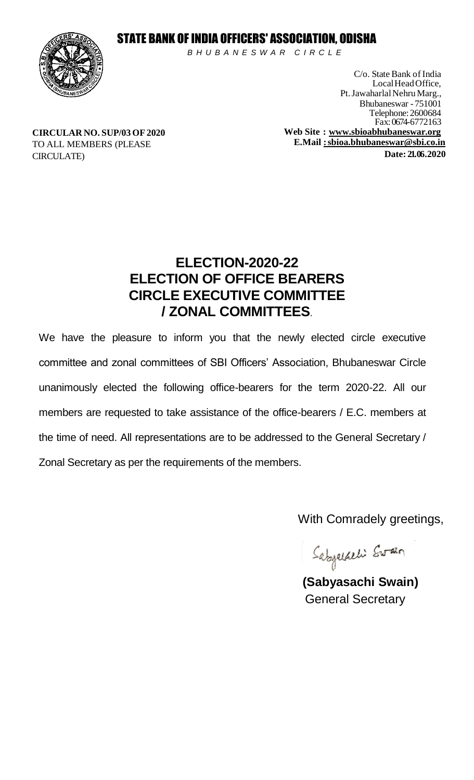### STATE BANK OF INDIA OFFICERS' ASSOCIATION, ODISHA



*B H U B A N E S W A R C I R C L E* 

C/o. State Bank of India LocalHeadOffice, Pt. Jawaharlal Nehru Marg., Bhubaneswar - 751001 Telephone:2600684 Fax: 0674-6772163 **Web Site : [www.sbioabhubaneswar.org](http://www.sbioabhubaneswar.org/) E.Mail [:sbioa.bhubaneswar@sbi.co.in](mailto:sbioa.bhubaneswar@sbi.co.in) Date: 21. 06 .2020**

**CIRCULAR NO. SUP/03 OF2020** TO ALL MEMBERS (PLEASE CIRCULATE)

### **ELECTION-2020-22 ELECTION OF OFFICE BEARERS CIRCLE EXECUTIVE COMMITTEE / ZONAL COMMITTEES**.

We have the pleasure to inform you that the newly elected circle executive committee and zonal committees of SBI Officers' Association, Bhubaneswar Circle unanimously elected the following office-bearers for the term 2020-22. All our members are requested to take assistance of the office-bearers / E.C. members at the time of need. All representations are to be addressed to the General Secretary / Zonal Secretary as per the requirements of the members.

With Comradely greetings,

Sabyaldeli Swain

**(Sabyasachi Swain)** General Secretary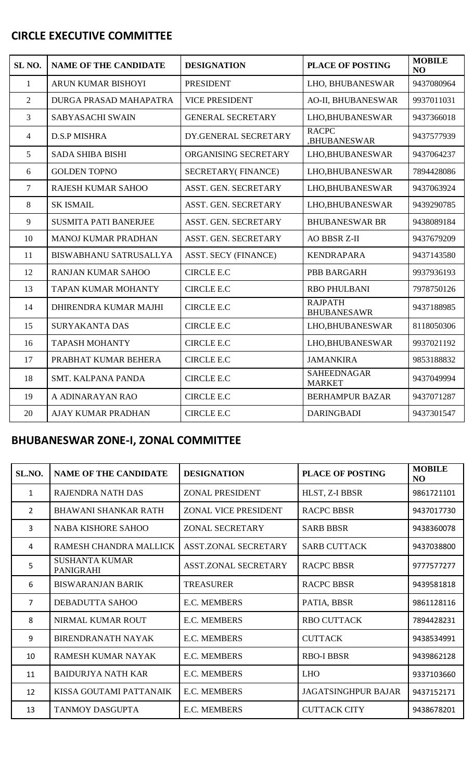#### **CIRCLE EXECUTIVE COMMITTEE**

| SL <sub>NO</sub> . | <b>NAME OF THE CANDIDATE</b>  | <b>DESIGNATION</b>          | <b>PLACE OF POSTING</b>              | <b>MOBILE</b><br>N <sub>O</sub> |
|--------------------|-------------------------------|-----------------------------|--------------------------------------|---------------------------------|
| $\mathbf{1}$       | ARUN KUMAR BISHOYI            | <b>PRESIDENT</b>            | LHO, BHUBANESWAR                     | 9437080964                      |
| $\overline{2}$     | DURGA PRASAD MAHAPATRA        | <b>VICE PRESIDENT</b>       | AO-II, BHUBANESWAR                   | 9937011031                      |
| 3                  | SABYASACHI SWAIN              | <b>GENERAL SECRETARY</b>    | LHO, BHUBANESWAR                     | 9437366018                      |
| $\overline{4}$     | <b>D.S.P MISHRA</b>           | DY.GENERAL SECRETARY        | <b>RACPC</b><br>,BHUBANESWAR         | 9437577939                      |
| 5                  | <b>SADA SHIBA BISHI</b>       | ORGANISING SECRETARY        | LHO, BHUBANESWAR                     | 9437064237                      |
| 6                  | <b>GOLDEN TOPNO</b>           | <b>SECRETARY(FINANCE)</b>   | LHO, BHUBANESWAR                     | 7894428086                      |
| 7                  | <b>RAJESH KUMAR SAHOO</b>     | ASST. GEN. SECRETARY        | LHO, BHUBANESWAR                     | 9437063924                      |
| 8                  | <b>SK ISMAIL</b>              | ASST. GEN. SECRETARY        | LHO, BHUBANESWAR                     | 9439290785                      |
| 9                  | <b>SUSMITA PATI BANERJEE</b>  | ASST. GEN. SECRETARY        | <b>BHUBANESWAR BR</b>                | 9438089184                      |
| 10                 | <b>MANOJ KUMAR PRADHAN</b>    | ASST. GEN. SECRETARY        | <b>AO BBSR Z-II</b>                  | 9437679209                      |
| 11                 | <b>BISWABHANU SATRUSALLYA</b> | <b>ASST. SECY (FINANCE)</b> | <b>KENDRAPARA</b>                    | 9437143580                      |
| 12                 | <b>RANJAN KUMAR SAHOO</b>     | <b>CIRCLE E.C</b>           | <b>PBB BARGARH</b>                   | 9937936193                      |
| 13                 | TAPAN KUMAR MOHANTY           | <b>CIRCLE E.C</b>           | <b>RBO PHULBANI</b>                  | 7978750126                      |
| 14                 | DHIRENDRA KUMAR MAJHI         | <b>CIRCLE E.C</b>           | <b>RAJPATH</b><br><b>BHUBANESAWR</b> | 9437188985                      |
| 15                 | <b>SURYAKANTA DAS</b>         | <b>CIRCLE E.C</b>           | LHO, BHUBANESWAR                     | 8118050306                      |
| 16                 | <b>TAPASH MOHANTY</b>         | <b>CIRCLE E.C</b>           | LHO, BHUBANESWAR                     | 9937021192                      |
| 17                 | PRABHAT KUMAR BEHERA          | <b>CIRCLE E.C</b>           | <b>JAMANKIRA</b>                     | 9853188832                      |
| 18                 | SMT. KALPANA PANDA            | <b>CIRCLE E.C</b>           | <b>SAHEEDNAGAR</b><br><b>MARKET</b>  | 9437049994                      |
| 19                 | A ADINARAYAN RAO              | <b>CIRCLE E.C</b>           | <b>BERHAMPUR BAZAR</b>               | 9437071287                      |
| 20                 | AJAY KUMAR PRADHAN            | <b>CIRCLE E.C</b>           | <b>DARINGBADI</b>                    | 9437301547                      |

# **BHUBANESWAR ZONE-I, ZONAL COMMITTEE**

| SL.NO.         | <b>NAME OF THE CANDIDATE</b>              | <b>DESIGNATION</b>          | <b>PLACE OF POSTING</b>    | <b>MOBILE</b><br>N <sub>O</sub> |
|----------------|-------------------------------------------|-----------------------------|----------------------------|---------------------------------|
| $\mathbf{1}$   | <b>RAJENDRA NATH DAS</b>                  | <b>ZONAL PRESIDENT</b>      | HLST, Z-I BBSR             | 9861721101                      |
| 2              | <b>BHAWANI SHANKAR RATH</b>               | <b>ZONAL VICE PRESIDENT</b> | <b>RACPC BBSR</b>          | 9437017730                      |
| $\overline{3}$ | <b>NABA KISHORE SAHOO</b>                 | <b>ZONAL SECRETARY</b>      | <b>SARB BBSR</b>           | 9438360078                      |
| 4              | RAMESH CHANDRA MALLICK                    | <b>ASST.ZONAL SECRETARY</b> | <b>SARB CUTTACK</b>        | 9437038800                      |
| 5              | <b>SUSHANTA KUMAR</b><br><b>PANIGRAHI</b> | <b>ASST.ZONAL SECRETARY</b> | <b>RACPC BBSR</b>          | 9777577277                      |
| 6              | <b>BISWARANJAN BARIK</b>                  | <b>TREASURER</b>            | <b>RACPC BBSR</b>          | 9439581818                      |
| $\overline{7}$ | <b>DEBADUTTA SAHOO</b>                    | <b>E.C. MEMBERS</b>         | PATIA, BBSR                | 9861128116                      |
| 8              | NIRMAL KUMAR ROUT                         | <b>E.C. MEMBERS</b>         | <b>RBO CUTTACK</b>         | 7894428231                      |
| 9              | <b>BIRENDRANATH NAYAK</b>                 | <b>E.C. MEMBERS</b>         | <b>CUTTACK</b>             | 9438534991                      |
| 10             | RAMESH KUMAR NAYAK                        | <b>E.C. MEMBERS</b>         | <b>RBO-I BBSR</b>          | 9439862128                      |
| 11             | <b>BAIDURJYA NATH KAR</b>                 | <b>E.C. MEMBERS</b>         | <b>LHO</b>                 | 9337103660                      |
| 12             | KISSA GOUTAMI PATTANAIK                   | <b>E.C. MEMBERS</b>         | <b>JAGATSINGHPUR BAJAR</b> | 9437152171                      |
| 13             | <b>TANMOY DASGUPTA</b>                    | <b>E.C. MEMBERS</b>         | <b>CUTTACK CITY</b>        | 9438678201                      |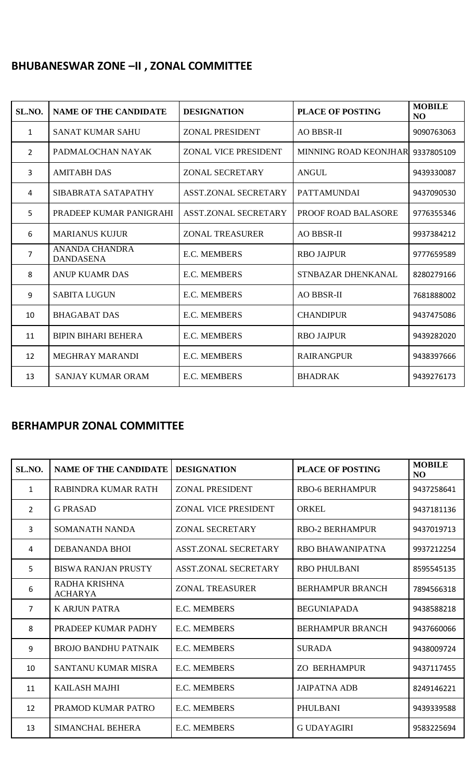## **BHUBANESWAR ZONE –II , ZONAL COMMITTEE**

| SL.NO.         | <b>NAME OF THE CANDIDATE</b>       | <b>DESIGNATION</b>          | <b>PLACE OF POSTING</b>      | <b>MOBILE</b><br>N <sub>O</sub> |
|----------------|------------------------------------|-----------------------------|------------------------------|---------------------------------|
| 1              | <b>SANAT KUMAR SAHU</b>            | <b>ZONAL PRESIDENT</b>      | <b>AO BBSR-II</b>            | 9090763063                      |
| $\overline{2}$ | PADMALOCHAN NAYAK                  | <b>ZONAL VICE PRESIDENT</b> | <b>MINNING ROAD KEONJHAR</b> | 9337805109                      |
| 3              | <b>AMITABH DAS</b>                 | <b>ZONAL SECRETARY</b>      | <b>ANGUL</b>                 | 9439330087                      |
| 4              | SIBABRATA SATAPATHY                | <b>ASST.ZONAL SECRETARY</b> | <b>PATTAMUNDAI</b>           | 9437090530                      |
| 5              | PRADEEP KUMAR PANIGRAHI            | <b>ASST.ZONAL SECRETARY</b> | PROOF ROAD BALASORE          | 9776355346                      |
| 6              | <b>MARIANUS KUJUR</b>              | <b>ZONAL TREASURER</b>      | <b>AO BBSR-II</b>            | 9937384212                      |
| $\overline{7}$ | ANANDA CHANDRA<br><b>DANDASENA</b> | <b>E.C. MEMBERS</b>         | <b>RBO JAJPUR</b>            | 9777659589                      |
| 8              | <b>ANUP KUAMR DAS</b>              | <b>E.C. MEMBERS</b>         | STNBAZAR DHENKANAL           | 8280279166                      |
| 9              | <b>SABITA LUGUN</b>                | <b>E.C. MEMBERS</b>         | <b>AO BBSR-II</b>            | 7681888002                      |
| 10             | <b>BHAGABAT DAS</b>                | <b>E.C. MEMBERS</b>         | <b>CHANDIPUR</b>             | 9437475086                      |
| 11             | <b>BIPIN BIHARI BEHERA</b>         | <b>E.C. MEMBERS</b>         | <b>RBO JAJPUR</b>            | 9439282020                      |
| 12             | MEGHRAY MARANDI                    | <b>E.C. MEMBERS</b>         | <b>RAIRANGPUR</b>            | 9438397666                      |
| 13             | <b>SANJAY KUMAR ORAM</b>           | <b>E.C. MEMBERS</b>         | <b>BHADRAK</b>               | 9439276173                      |

### **BERHAMPUR ZONAL COMMITTEE**

| SL.NO.         | <b>NAME OF THE CANDIDATE</b>    | <b>DESIGNATION</b>          | <b>PLACE OF POSTING</b> | <b>MOBILE</b><br>N <sub>O</sub> |
|----------------|---------------------------------|-----------------------------|-------------------------|---------------------------------|
| $\mathbf{1}$   | RABINDRA KUMAR RATH             | <b>ZONAL PRESIDENT</b>      | <b>RBO-6 BERHAMPUR</b>  | 9437258641                      |
| $\overline{2}$ | <b>G PRASAD</b>                 | <b>ZONAL VICE PRESIDENT</b> | <b>ORKEL</b>            | 9437181136                      |
| $\overline{3}$ | SOMANATH NANDA                  | <b>ZONAL SECRETARY</b>      | <b>RBO-2 BERHAMPUR</b>  | 9437019713                      |
| 4              | <b>DEBANANDA BHOI</b>           | <b>ASST.ZONAL SECRETARY</b> | <b>RBO BHAWANIPATNA</b> | 9937212254                      |
| 5              | <b>BISWA RANJAN PRUSTY</b>      | <b>ASST.ZONAL SECRETARY</b> | <b>RBO PHULBANI</b>     | 8595545135                      |
| 6              | RADHA KRISHNA<br><b>ACHARYA</b> | <b>ZONAL TREASURER</b>      | <b>BERHAMPUR BRANCH</b> | 7894566318                      |
| $\overline{7}$ | <b>K ARJUN PATRA</b>            | <b>E.C. MEMBERS</b>         | <b>BEGUNIAPADA</b>      | 9438588218                      |
| 8              | PRADEEP KUMAR PADHY             | <b>E.C. MEMBERS</b>         | <b>BERHAMPUR BRANCH</b> | 9437660066                      |
| 9              | <b>BROJO BANDHU PATNAIK</b>     | <b>E.C. MEMBERS</b>         | <b>SURADA</b>           | 9438009724                      |
| 10             | <b>SANTANU KUMAR MISRA</b>      | <b>E.C. MEMBERS</b>         | <b>ZO BERHAMPUR</b>     | 9437117455                      |
| 11             | <b>KAILASH MAJHI</b>            | <b>E.C. MEMBERS</b>         | <b>JAIPATNA ADB</b>     | 8249146221                      |
| 12             | PRAMOD KUMAR PATRO              | <b>E.C. MEMBERS</b>         | PHULBANI                | 9439339588                      |
| 13             | <b>SIMANCHAL BEHERA</b>         | <b>E.C. MEMBERS</b>         | <b>G UDAYAGIRI</b>      | 9583225694                      |